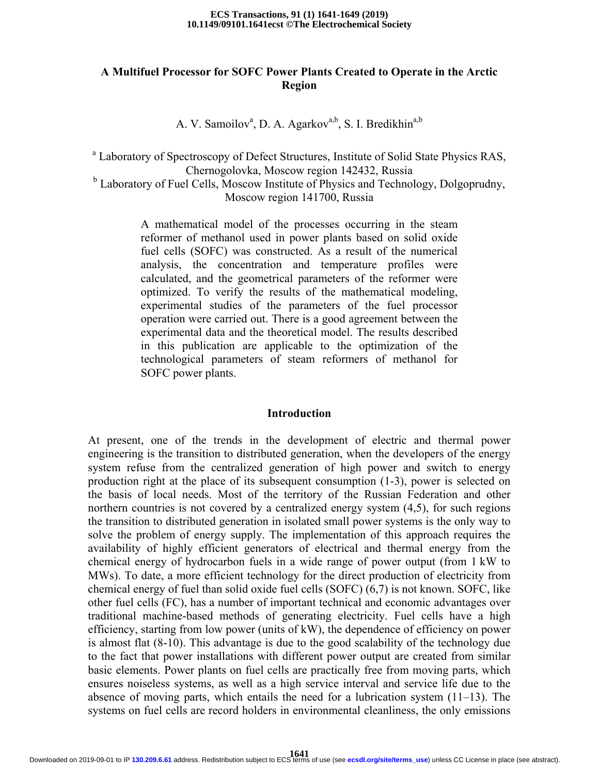#### **10.1149/09101.1641ecst ©The Electrochemical Society ECS Transactions, 91 (1) 1641-1649 (2019)**

# **A Multifuel Processor for SOFC Power Plants Created to Operate in the Arctic Region**

A. V. Samoilov<sup>a</sup>, D. A. Agarkov<sup>a,b</sup>, S. I. Bredikhin<sup>a,b</sup>

<sup>a</sup> Laboratory of Spectroscopy of Defect Structures, Institute of Solid State Physics RAS, Chernogolovka, Moscow region 142432, Russia <sup>b</sup> Laboratory of Fuel Cells, Moscow Institute of Physics and Technology, Dolgoprudny, Moscow region 141700, Russia

> A mathematical model of the processes occurring in the steam reformer of methanol used in power plants based on solid oxide fuel cells (SOFC) was constructed. As a result of the numerical analysis, the concentration and temperature profiles were calculated, and the geometrical parameters of the reformer were optimized. To verify the results of the mathematical modeling, experimental studies of the parameters of the fuel processor operation were carried out. There is a good agreement between the experimental data and the theoretical model. The results described in this publication are applicable to the optimization of the technological parameters of steam reformers of methanol for SOFC power plants.

## **Introduction**

At present, one of the trends in the development of electric and thermal power engineering is the transition to distributed generation, when the developers of the energy system refuse from the centralized generation of high power and switch to energy production right at the place of its subsequent consumption (1-3), power is selected on the basis of local needs. Most of the territory of the Russian Federation and other northern countries is not covered by a centralized energy system (4,5), for such regions the transition to distributed generation in isolated small power systems is the only way to solve the problem of energy supply. The implementation of this approach requires the availability of highly efficient generators of electrical and thermal energy from the chemical energy of hydrocarbon fuels in a wide range of power output (from 1 kW to MWs). To date, a more efficient technology for the direct production of electricity from chemical energy of fuel than solid oxide fuel cells (SOFC) (6,7) is not known. SOFC, like other fuel cells (FC), has a number of important technical and economic advantages over traditional machine-based methods of generating electricity. Fuel cells have a high efficiency, starting from low power (units of kW), the dependence of efficiency on power is almost flat (8-10). This advantage is due to the good scalability of the technology due to the fact that power installations with different power output are created from similar basic elements. Power plants on fuel cells are practically free from moving parts, which ensures noiseless systems, as well as a high service interval and service life due to the absence of moving parts, which entails the need for a lubrication system (11–13). The systems on fuel cells are record holders in environmental cleanliness, the only emissions

**1641** Downloaded on 2019-09-01 to IP **130.209.6.61** address. Redistribution subject to ECS terms of use (see **[ecsdl.org/site/terms\\_use](http://ecsdl.org/site/terms_use)**) unless CC License in place (see abstract).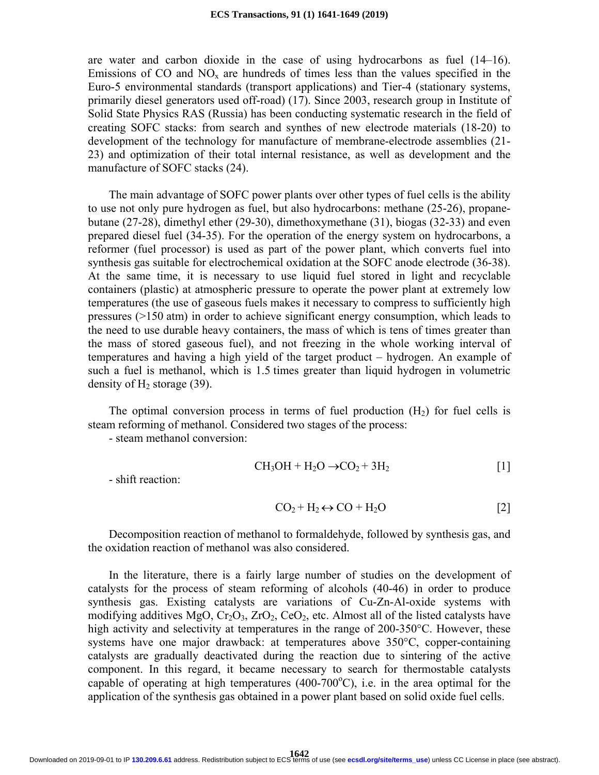are water and carbon dioxide in the case of using hydrocarbons as fuel (14–16). Emissions of CO and  $NO<sub>x</sub>$  are hundreds of times less than the values specified in the Euro-5 environmental standards (transport applications) and Tier-4 (stationary systems, primarily diesel generators used off-road) (17). Since 2003, research group in Institute of Solid State Physics RAS (Russia) has been conducting systematic research in the field of creating SOFC stacks: from search and synthes of new electrode materials (18-20) to development of the technology for manufacture of membrane-electrode assemblies (21- 23) and optimization of their total internal resistance, as well as development and the manufacture of SOFC stacks (24).

The main advantage of SOFC power plants over other types of fuel cells is the ability to use not only pure hydrogen as fuel, but also hydrocarbons: methane (25-26), propanebutane (27-28), dimethyl ether (29-30), dimethoxymethane (31), biogas (32-33) and even prepared diesel fuel (34-35). For the operation of the energy system on hydrocarbons, a reformer (fuel processor) is used as part of the power plant, which converts fuel into synthesis gas suitable for electrochemical oxidation at the SOFC anode electrode (36-38). At the same time, it is necessary to use liquid fuel stored in light and recyclable containers (plastic) at atmospheric pressure to operate the power plant at extremely low temperatures (the use of gaseous fuels makes it necessary to compress to sufficiently high pressures (>150 atm) in order to achieve significant energy consumption, which leads to the need to use durable heavy containers, the mass of which is tens of times greater than the mass of stored gaseous fuel), and not freezing in the whole working interval of temperatures and having a high yield of the target product – hydrogen. An example of such a fuel is methanol, which is 1.5 times greater than liquid hydrogen in volumetric density of  $H<sub>2</sub>$  storage (39).

The optimal conversion process in terms of fuel production  $(H<sub>2</sub>)$  for fuel cells is steam reforming of methanol. Considered two stages of the process:

- steam methanol conversion:

$$
CH3OH + H2O \rightarrow CO2 + 3H2
$$
 [1]

- shift reaction:

$$
CO_2 + H_2 \leftrightarrow CO + H_2O \tag{2}
$$

Decomposition reaction of methanol to formaldehyde, followed by synthesis gas, and the oxidation reaction of methanol was also considered.

In the literature, there is a fairly large number of studies on the development of catalysts for the process of steam reforming of alcohols (40-46) in order to produce synthesis gas. Existing catalysts are variations of Cu-Zn-Al-oxide systems with modifying additives MgO,  $Cr_2O_3$ ,  $ZrO_2$ ,  $CeO_2$ , etc. Almost all of the listed catalysts have high activity and selectivity at temperatures in the range of 200-350°C. However, these systems have one major drawback: at temperatures above 350°C, copper-containing catalysts are gradually deactivated during the reaction due to sintering of the active component. In this regard, it became necessary to search for thermostable catalysts capable of operating at high temperatures (400-700 $^{\circ}$ C), i.e. in the area optimal for the application of the synthesis gas obtained in a power plant based on solid oxide fuel cells.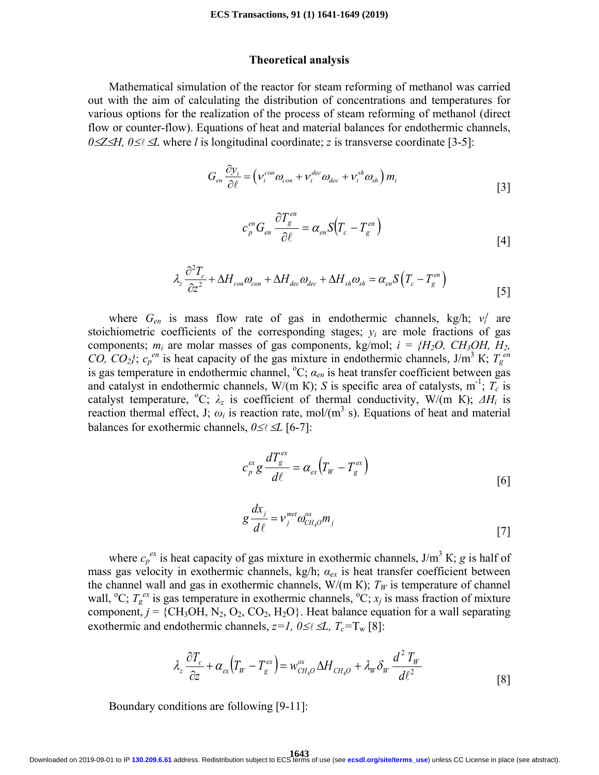#### **Theoretical analysis**

Mathematical simulation of the reactor for steam reforming of methanol was carried out with the aim of calculating the distribution of concentrations and temperatures for various options for the realization of the process of steam reforming of methanol (direct flow or counter-flow). Equations of heat and material balances for endothermic channels, *0≤Z≤H, 0≤t* ≤*L* where *l* is longitudinal coordinate; *z* is transverse coordinate [3-5]:

$$
G_{en} \frac{\partial y_i}{\partial \ell} = \left( v_i^{con} \omega_{con} + v_i^{dec} \omega_{dec} + v_i^{sh} \omega_{sh} \right) m_i
$$
\n<sup>(3)</sup>

$$
c_p^{en} G_{en} \frac{\partial T_g^{en}}{\partial \ell} = \alpha_{en} S(T_c - T_g^{en})
$$
\n<sup>(4)</sup>

$$
\lambda_z \frac{\partial^2 T_c}{\partial z^2} + \Delta H_{con} \omega_{con} + \Delta H_{dec} \omega_{dec} + \Delta H_{sh} \omega_{sh} = \alpha_{en} S \left( T_c - T_g^{en} \right)
$$
 [5]

where  $G_{en}$  is mass flow rate of gas in endothermic channels, kg/h;  $v_i^j$  are stoichiometric coefficients of the corresponding stages;  $y_i$  are mole fractions of gas components;  $m_i$  are molar masses of gas components, kg/mol;  $i = \{H_2O, CH_3OH, H_2,$ *CO, CO*<sub>2</sub>*}*;  $c_p^{en}$  is heat capacity of the gas mixture in endothermic channels, J/m<sup>3</sup> K;  $T_g^{en}$ is gas temperature in endothermic channel,  ${}^{\circ}C$ ;  $\alpha_{en}$  is heat transfer coefficient between gas and catalyst in endothermic channels,  $W/(m K)$ ; *S* is specific area of catalysts, m<sup>-1</sup>;  $T_c$  is catalyst temperature,  ${}^{\circ}C$ ;  $\lambda_z$  is coefficient of thermal conductivity, W/(m K);  $\Delta H_i$  is reaction thermal effect, J;  $\omega_i$  is reaction rate, mol/(m<sup>3</sup> s). Equations of heat and material balances for exothermic channels,  $0 \le \ell \le L$  [6-7]:

$$
c_p^{ex} g \frac{dT_g^{ex}}{d\ell} = \alpha_{ex} \left( T_W - T_g^{ex} \right)
$$
 [6]

$$
g\frac{dx_j}{d\ell} = v_j^{met} \omega_{CH_4O}^{\alpha x} m_j
$$

where  $c_p^{ex}$  is heat capacity of gas mixture in exothermic channels,  $J/m^3 K$ ; *g* is half of mass gas velocity in exothermic channels, kg/h; *αex* is heat transfer coefficient between the channel wall and gas in exothermic channels,  $W/(m K)$ ;  $T_W$  is temperature of channel wall, <sup>o</sup>C;  $T_g^{ex}$  is gas temperature in exothermic channels, <sup>o</sup>C;  $x_j$  is mass fraction of mixture component,  $j = \{CH_3OH, N_2, O_2, CO_2, H_2O\}$ . Heat balance equation for a wall separating exothermic and endothermic channels,  $z=I$ ,  $0\leq \ell \leq L$ ,  $T_c=T_w$  [8]:

$$
\lambda_z \frac{\partial T_c}{\partial z} + \alpha_{ex} \left( T_W - T_g^{ex} \right) = w_{CH_4O}^{ox} \Delta H_{CH_4O} + \lambda_W \delta_W \frac{d^2 T_W}{d\ell^2}
$$
\n[8]

Boundary conditions are following [9-11]: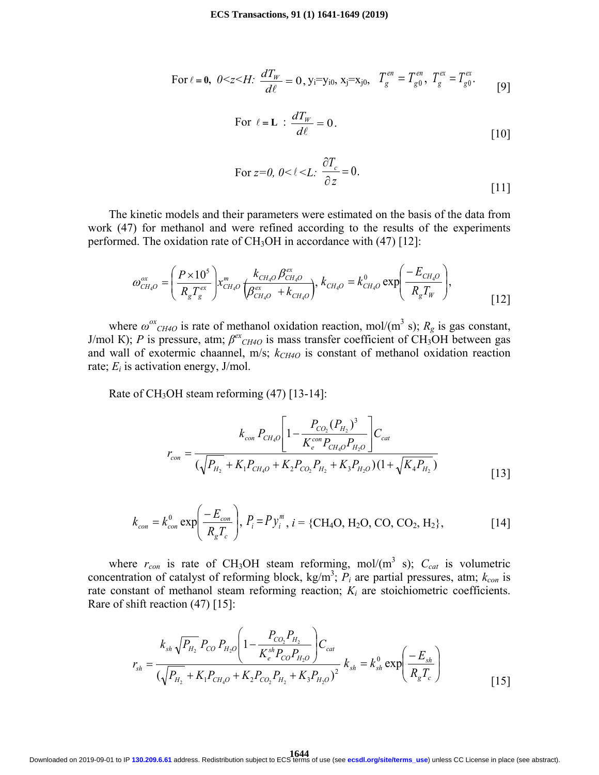For 
$$
\ell = 0
$$
,  $0 < z < H$ :  $\frac{dT_W}{d\ell} = 0$ ,  $y_i = y_{i0}$ ,  $x_j = x_{j0}$ ,  $T_g^{en} = T_{g0}^{en}$ ,  $T_g^{ex} = T_{g0}^{ex}$ . [9]

For 
$$
\ell = L
$$
 :  $\frac{dT_W}{d\ell} = 0$ . [10]

For 
$$
z=0
$$
,  $0 < l < L$ :  $\frac{\partial T_c}{\partial z} = 0$ . [11]

The kinetic models and their parameters were estimated on the basis of the data from work (47) for methanol and were refined according to the results of the experiments performed. The oxidation rate of  $CH<sub>3</sub>OH$  in accordance with (47) [12]:

$$
\omega_{CH_4O}^{\alpha x} = \left(\frac{P \times 10^5}{R_g T_g^{\text{ex}}}\right) x_{CH_4O}^m \frac{k_{CH_4O} \beta_{CH_4O}^{\text{ex}}}{\left(\beta_{CH_4O}^{\text{ex}} + k_{CH_4O}\right)}, \ k_{CH_4O} = k_{CH_4O}^0 \exp\left(\frac{-E_{CH_4O}}{R_g T_W}\right),\tag{12}
$$

where  $\omega^{\alpha}$  *CH4O* is rate of methanol oxidation reaction, mol/(m<sup>3</sup> s);  $R_g$  is gas constant, J/mol K); *P* is pressure, atm;  $\beta^{ex}_{CH4O}$  is mass transfer coefficient of CH<sub>3</sub>OH between gas and wall of exotermic chaannel, m/s; *kCH4O* is constant of methanol oxidation reaction rate;  $E_i$  is activation energy,  $J/mol$ .

Rate of  $CH<sub>3</sub>OH$  steam reforming (47) [13-14]:

$$
r_{con} = \frac{k_{con} P_{CH_4O}\left[1 - \frac{P_{CO_2}(P_{H_2})^3}{K_e^{con} P_{CH_4O} P_{H_2O}}\right] C_{cat}}{(\sqrt{P_{H_2}} + K_1 P_{CH_4O} + K_2 P_{CO_2} P_{H_2} + K_3 P_{H_2O})(1 + \sqrt{K_4 P_{H_2}})}
$$
(13)

$$
k_{con} = k_{con}^{0} \exp\left(\frac{-E_{con}}{R_g T_c}\right), \ P_i = P y_i^m, \ i = \{CH_4O, H_2O, CO, CO_2, H_2\}, \tag{14}
$$

where  $r_{con}$  is rate of CH<sub>3</sub>OH steam reforming, mol/(m<sup>3</sup> s);  $C_{cat}$  is volumetric concentration of catalyst of reforming block,  $kg/m^3$ ;  $P_i$  are partial pressures, atm;  $k_{con}$  is rate constant of methanol steam reforming reaction; *K<sup>i</sup>* are stoichiometric coefficients. Rare of shift reaction (47) [15]:

$$
r_{sh} = \frac{k_{sh}\sqrt{P_{H_2}}P_{CO}P_{H_2O}\left(1-\frac{P_{CO_2}P_{H_2}}{K_e^{sh}P_{CO}P_{H_2O}}\right)C_{cat}}{(\sqrt{P_{H_2}}+K_1P_{CH_4O}+K_2P_{CO_2}P_{H_2}+K_3P_{H_2O})^2}k_{sh} = k_{sh}^0 \exp\left(\frac{-E_{sh}}{R_gT_c}\right)
$$
\n<sup>(15)</sup>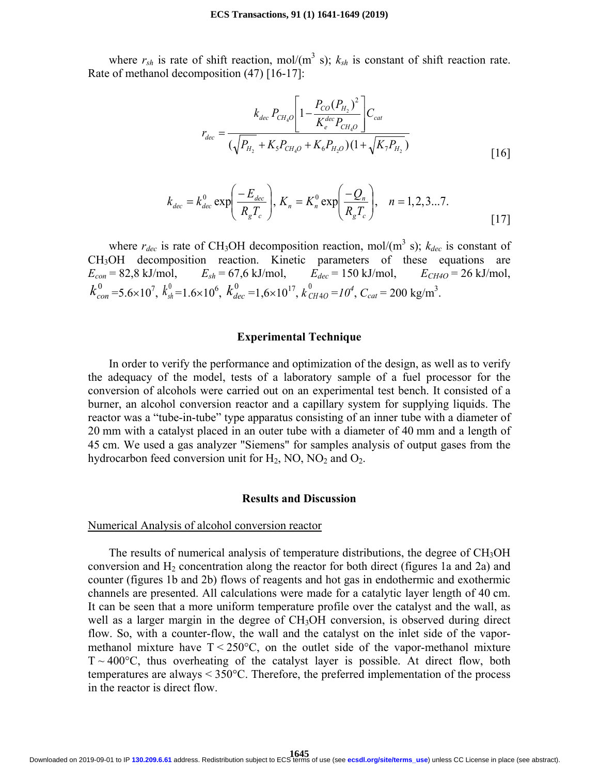where  $r_{sh}$  is rate of shift reaction, mol/(m<sup>3</sup> s);  $k_{sh}$  is constant of shift reaction rate. Rate of methanol decomposition (47) [16-17]:

$$
r_{dec} = \frac{k_{dec} P_{CH_4O} \left[ 1 - \frac{P_{CO}(P_{H_2})^2}{K_e^{dec} P_{CH_4O}} \right] C_{cat}}{(\sqrt{P_{H_2}} + K_s P_{CH_4O} + K_6 P_{H_2O})(1 + \sqrt{K_7 P_{H_2}})}
$$
(16)

$$
k_{dec} = k_{dec}^{0} \exp\left(\frac{-E_{dec}}{R_{g}T_{c}}\right), K_{n} = K_{n}^{0} \exp\left(\frac{-Q_{n}}{R_{g}T_{c}}\right), \quad n = 1, 2, 3...7.
$$

where  $r_{dec}$  is rate of CH<sub>3</sub>OH decomposition reaction, mol/(m<sup>3</sup> s);  $k_{dec}$  is constant of CH<sub>3</sub>OH decomposition reaction. Kinetic parameters of these equations are  $E_{con}$  = 82,8 kJ/mol,  $E_{sh}$  = 67,6 kJ/mol,  $E_{dec}$  = 150 kJ/mol,  $E_{CH4O}$  = 26 kJ/mol,  $E_{con} = 82,8 \text{ kJ/mol},$   $E_{sh} = 67,6 \text{ kJ/mol},$   $E_{dec} = 150 \text{ kJ/mol},$   $E_{CH4O} = 26 \text{ kJ/mol},$  $k_{con}^{0}$  =5.6×10<sup>7</sup>,  $k_{sh}^{0}$  =1.6×10<sup>6</sup>,  $k_{dec}^{0}$  =1,6×10<sup>17</sup>,  $k_{CH40}^{0}$  =10<sup>4</sup>,  $C_{cat}$  = 200 kg/m<sup>3</sup>.

## **Experimental Technique**

In order to verify the performance and optimization of the design, as well as to verify the adequacy of the model, tests of a laboratory sample of a fuel processor for the conversion of alcohols were carried out on an experimental test bench. It consisted of a burner, an alcohol conversion reactor and a capillary system for supplying liquids. The reactor was a "tube-in-tube" type apparatus consisting of an inner tube with a diameter of 20 mm with a catalyst placed in an outer tube with a diameter of 40 mm and a length of 45 cm. We used a gas analyzer "Siemens" for samples analysis of output gases from the hydrocarbon feed conversion unit for  $H_2$ , NO, NO<sub>2</sub> and O<sub>2</sub>.

#### **Results and Discussion**

#### Numerical Analysis of alcohol conversion reactor

The results of numerical analysis of temperature distributions, the degree of CH<sub>3</sub>OH conversion and  $H_2$  concentration along the reactor for both direct (figures 1a and 2a) and counter (figures 1b and 2b) flows of reagents and hot gas in endothermic and exothermic channels are presented. All calculations were made for a catalytic layer length of 40 cm. It can be seen that a more uniform temperature profile over the catalyst and the wall, as well as a larger margin in the degree of CH<sub>3</sub>OH conversion, is observed during direct flow. So, with a counter-flow, the wall and the catalyst on the inlet side of the vapormethanol mixture have  $T < 250^{\circ}$ C, on the outlet side of the vapor-methanol mixture  $T \sim 400^{\circ}$ C, thus overheating of the catalyst layer is possible. At direct flow, both temperatures are always < 350°C. Therefore, the preferred implementation of the process in the reactor is direct flow.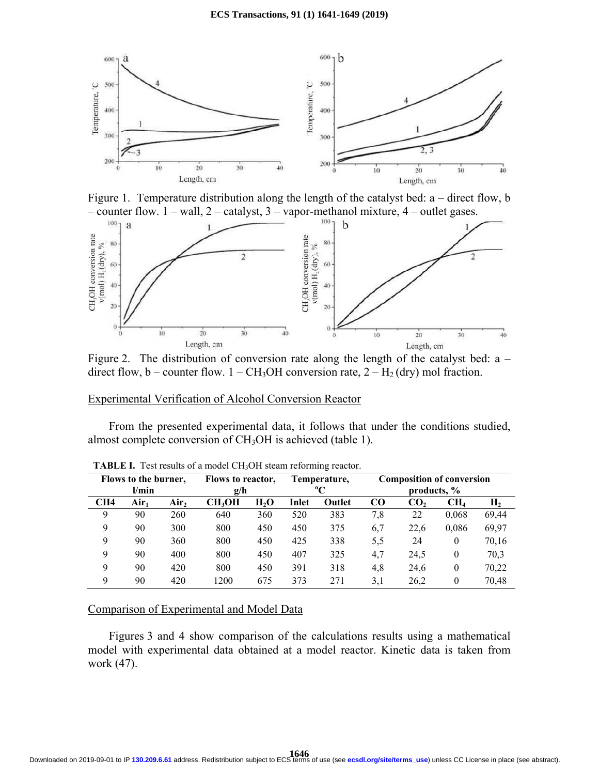

Figure 1. Temperature distribution along the length of the catalyst bed: a – direct flow, b – counter flow.  $1 - wall$ ,  $2 - catalyst$ ,  $3 - vapor-methanol mixture$ ,  $4 - outlet$  gases.



Figure 2. The distribution of conversion rate along the length of the catalyst bed:  $a$ direct flow, b – counter flow.  $1 - CH_3OH$  conversion rate,  $2 - H_2(dry)$  mol fraction.

## Experimental Verification of Alcohol Conversion Reactor

From the presented experimental data, it follows that under the conditions studied, almost complete conversion of CH<sub>3</sub>OH is achieved (table 1).

| Flows to the burner,<br>l/min |                  |                  | Flows to reactor,<br>g/h |        | Temperature,<br>$\rm ^{o}C$ |        | <b>Composition of conversion</b><br>products, $\%$ |                 |                 |                |
|-------------------------------|------------------|------------------|--------------------------|--------|-----------------------------|--------|----------------------------------------------------|-----------------|-----------------|----------------|
| CH <sub>4</sub>               | Air <sub>1</sub> | Air <sub>2</sub> | CH <sub>3</sub> OH       | $H_2O$ | Inlet                       | Outlet | $_{\rm CO}$                                        | $\mathbf{CO_2}$ | CH <sub>4</sub> | H <sub>2</sub> |
| $\mathbf Q$                   | 90               | 260              | 640                      | 360    | 520                         | 383    | 7,8                                                | 22              | 0.068           | 69,44          |
| 9                             | 90               | 300              | 800                      | 450    | 450                         | 375    | 6,7                                                | 22,6            | 0,086           | 69,97          |
| 9                             | 90               | 360              | 800                      | 450    | 425                         | 338    | 5.5                                                | 24              | $\theta$        | 70,16          |
| 9                             | 90               | 400              | 800                      | 450    | 407                         | 325    | 4,7                                                | 24.5            | $\theta$        | 70,3           |
| 9                             | 90               | 420              | 800                      | 450    | 391                         | 318    | 4,8                                                | 24,6            | $\theta$        | 70,22          |
| 9                             | 90               | 420              | 1200                     | 675    | 373                         | 271    | 3.1                                                | 26.2            | $\theta$        | 70.48          |

**TABLE I.** Test results of a model CH<sub>3</sub>OH steam reforming reactor.

## Comparison of Experimental and Model Data

Figures 3 and 4 show comparison of the calculations results using a mathematical model with experimental data obtained at a model reactor. Kinetic data is taken from work (47).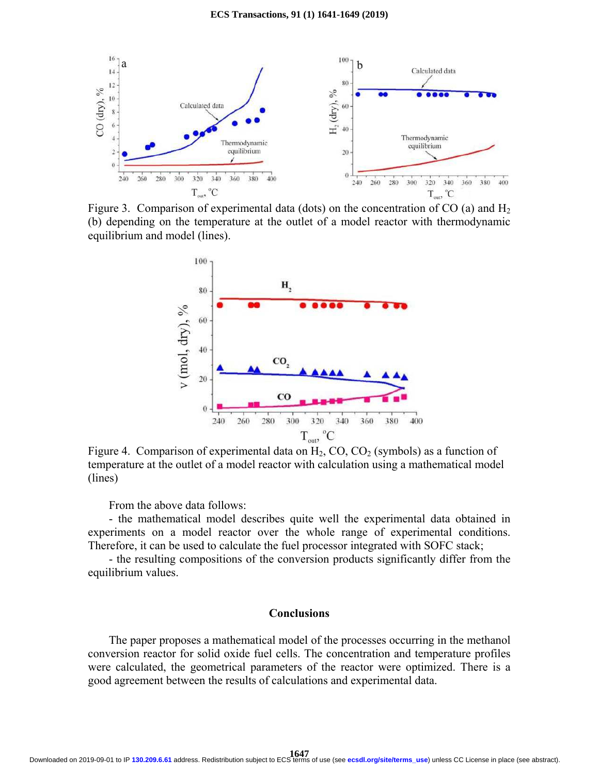

Figure 3. Comparison of experimental data (dots) on the concentration of CO (a) and  $H_2$ (b) depending on the temperature at the outlet of a model reactor with thermodynamic equilibrium and model (lines).



Figure 4. Comparison of experimental data on  $H_2$ , CO, CO<sub>2</sub> (symbols) as a function of temperature at the outlet of a model reactor with calculation using a mathematical model (lines)

From the above data follows:

- the mathematical model describes quite well the experimental data obtained in experiments on a model reactor over the whole range of experimental conditions. Therefore, it can be used to calculate the fuel processor integrated with SOFC stack;

- the resulting compositions of the conversion products significantly differ from the equilibrium values.

# **Conclusions**

The paper proposes a mathematical model of the processes occurring in the methanol conversion reactor for solid oxide fuel cells. The concentration and temperature profiles were calculated, the geometrical parameters of the reactor were optimized. There is a good agreement between the results of calculations and experimental data.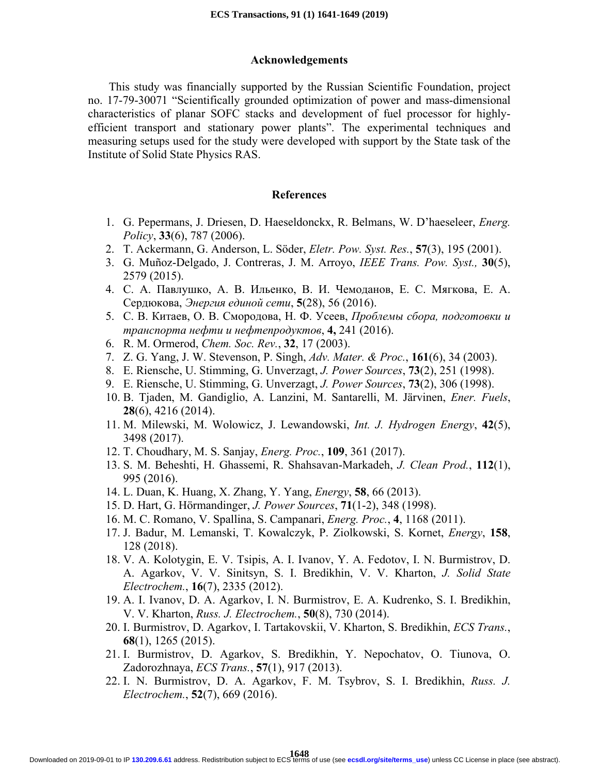## **Acknowledgements**

This study was financially supported by the Russian Scientific Foundation, project no. 17-79-30071 "Scientifically grounded optimization of power and mass-dimensional characteristics of planar SOFC stacks and development of fuel processor for highlyefficient transport and stationary power plants". The experimental techniques and measuring setups used for the study were developed with support by the State task of the Institute of Solid State Physics RAS.

## **References**

- 1. G. Pepermans, J. Driesen, D. Haeseldonckx, R. Belmans, W. D'haeseleer, *Energ. Policy*, **33**(6), 787 (2006).
- 2. T. Ackermann, G. Anderson, L. Söder, *Eletr. Pow. Syst. Res.*, **57**(3), 195 (2001).
- 3. G. Muñoz-Delgado, J. Contreras, J. M. Arroyo, *IEEE Trans. Pow. Syst.,* **30**(5), 2579 (2015).
- 4. C. A. Павлушко, A. В. Ильенко, В. И. Чемоданов, E. C. Мягкова, E. A. Сердюкова, *Энергия единой сети*, **5**(28), 56 (2016).
- 5. С. В. Китаев, О. В. Смородова, Н. Ф. Усеев, *Проблемы сбора, подготовки и транспорта нефти и нефтепродуктов*, **4,** 241 (2016).
- 6. R. M. Ormerod, *Chem. Soc. Rev.*, **32**, 17 (2003).
- 7. Z. G. Yang, J. W. Stevenson, P. Singh, *Adv. Mater. & Proc.*, **161**(6), 34 (2003).
- 8. E. Riensche, U. Stimming, G. Unverzagt, *J. Power Sources*, **73**(2), 251 (1998).
- 9. E. Riensche, U. Stimming, G. Unverzagt, *J. Power Sources*, **73**(2), 306 (1998).
- 10. B. Tjaden, M. Gandiglio, A. Lanzini, M. Santarelli, M. Järvinen, *Ener. Fuels*, **28**(6), 4216 (2014).
- 11. M. Milewski, M. Wolowicz, J. Lewandowski, *Int. J. Hydrogen Energy*, **42**(5), 3498 (2017).
- 12. T. Choudhary, M. S. Sanjay, *Energ. Proc.*, **109**, 361 (2017).
- 13. S. M. Beheshti, H. Ghassemi, R. Shahsavan-Markadeh, *J. Clean Prod.*, **112**(1), 995 (2016).
- 14. L. Duan, K. Huang, X. Zhang, Y. Yang, *Energy*, **58**, 66 (2013).
- 15. D. Hart, G. Hörmandinger, *J. Power Sources*, **71**(1-2), 348 (1998).
- 16. M. C. Romano, V. Spallina, S. Campanari, *Energ. Proc.*, **4**, 1168 (2011).
- 17. J. Badur, M. Lemanski, T. Kowalczyk, P. Ziolkowski, S. Kornet, *Energy*, **158**, 128 (2018).
- 18. V. A. Kolotygin, E. V. Tsipis, A. I. Ivanov, Y. A. Fedotov, I. N. Burmistrov, D. A. Agarkov, V. V. Sinitsyn, S. I. Bredikhin, V. V. Kharton, *J. Solid State Electrochem.*, **16**(7), 2335 (2012).
- 19. A. I. Ivanov, D. A. Agarkov, I. N. Burmistrov, E. A. Kudrenko, S. I. Bredikhin, V. V. Kharton, *Russ. J. Electrochem.*, **50**(8), 730 (2014).
- 20. I. Burmistrov, D. Agarkov, I. Tartakovskii, V. Kharton, S. Bredikhin, *ECS Trans.*, **68**(1), 1265 (2015).
- 21. I. Burmistrov, D. Agarkov, S. Bredikhin, Y. Nepochatov, O. Tiunova, O. Zadorozhnaya, *ECS Trans.*, **57**(1), 917 (2013).
- 22. I. N. Burmistrov, D. A. Agarkov, F. M. Tsybrov, S. I. Bredikhin, *Russ. J. Electrochem.*, **52**(7), 669 (2016).